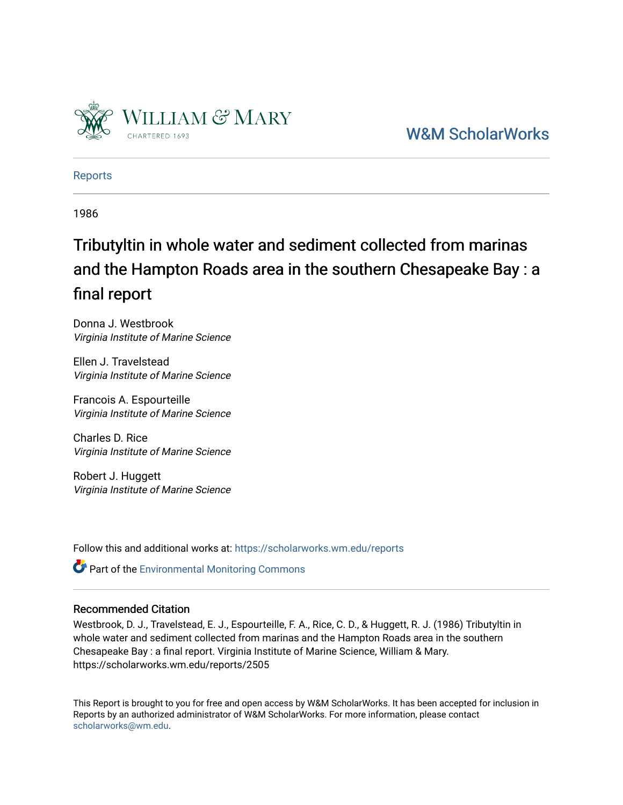

[W&M ScholarWorks](https://scholarworks.wm.edu/) 

[Reports](https://scholarworks.wm.edu/reports)

1986

# Tributyltin in whole water and sediment collected from marinas and the Hampton Roads area in the southern Chesapeake Bay : a final report

Donna J. Westbrook Virginia Institute of Marine Science

Ellen J. Travelstead Virginia Institute of Marine Science

Francois A. Espourteille Virginia Institute of Marine Science

Charles D. Rice Virginia Institute of Marine Science

Robert J. Huggett Virginia Institute of Marine Science

Follow this and additional works at: [https://scholarworks.wm.edu/reports](https://scholarworks.wm.edu/reports?utm_source=scholarworks.wm.edu%2Freports%2F2505&utm_medium=PDF&utm_campaign=PDFCoverPages)

**Part of the [Environmental Monitoring Commons](http://network.bepress.com/hgg/discipline/931?utm_source=scholarworks.wm.edu%2Freports%2F2505&utm_medium=PDF&utm_campaign=PDFCoverPages)** 

### Recommended Citation

Westbrook, D. J., Travelstead, E. J., Espourteille, F. A., Rice, C. D., & Huggett, R. J. (1986) Tributyltin in whole water and sediment collected from marinas and the Hampton Roads area in the southern Chesapeake Bay : a final report. Virginia Institute of Marine Science, William & Mary. https://scholarworks.wm.edu/reports/2505

This Report is brought to you for free and open access by W&M ScholarWorks. It has been accepted for inclusion in Reports by an authorized administrator of W&M ScholarWorks. For more information, please contact [scholarworks@wm.edu.](mailto:scholarworks@wm.edu)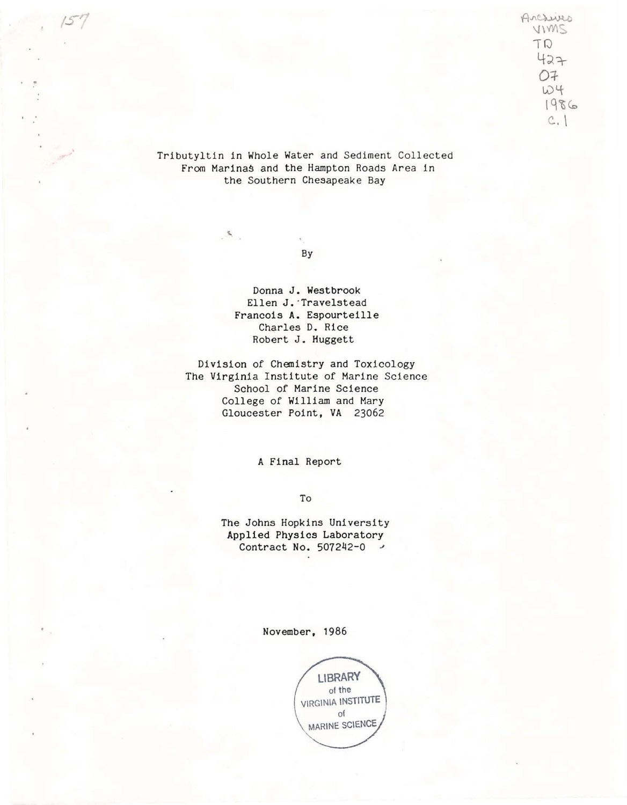Arcsives  $V1VMS$ 'TQ  $427$ 0+  $104$ l~i~  $c.$ 

Tributyltin in Whole Water and Sediment Collected From Marinas and the Hampton Roads Area in the Southern Chesapeake Bay

By

 $\mathcal{I}_\mathbf{a}$ 

Donna J. Westbrook Ellen J.·Travelstead Francois A. Espourteille Charles D. Rice Robert J. Huggett

Division of Chemistry and Toxicology The Virginia Institute of Marine Science School of Marine Science College of William and Mary Gloucester Point, **VA** 23062

A Final Report

To

The Johns Hopkins University Applied Physics Laboratory Contract No. 507242-0 *J* 

November, 1986

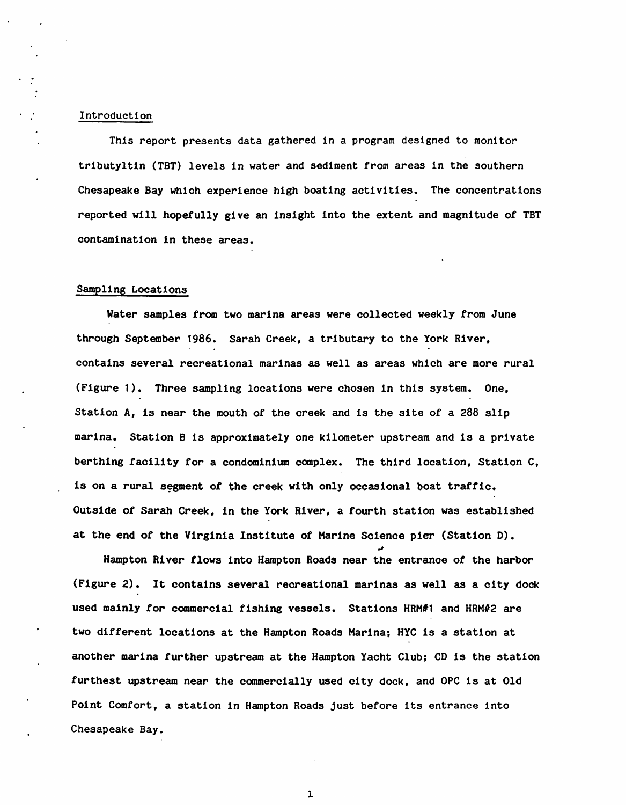#### Introduction

This report presents data gathered in a program designed to monitor tributyltin (TBT) levels in water and sediment from areas in the southern Chesapeake Bay which experience high boating activities. The concentrations reported **will** hopefully **give** an insight into the extent and magnitude of TBT contamination in these areas.

#### Sampling Locations

Water samples from two marina areas were collected weekly from June through September 1986. Sarah Creek, a tributary to the York River, contains several recreational marinas as well as areas which are more rural (Figure 1). Three sampling locations were chosen in this system. One, Station A, is near the mouth of the creek and is the site of a 288 slip marina. Station Bis approximately one kilometer upstream and is a private berthing facility for a condominium complex. The third location, Station C, is on a rural segment of the creek with only occasional boat traffic. Outside of Sarah Creek, in the York River, a fourth station was established at the end of the Virginia Institute of Marine Science pier (Station D).

Hampton River flows into Hampton Roads near the entrance of the harbor (Figure 2). It contains several recreational marinas as well as a city dock used mainly for commercial fishing vessels. Stations HRM#1 and HRM#2 are two different locations at the Hampton Roads Marina; HYC is a station at another marina further upstream at the Hampton Yacht Club; CD is the station furthest upstream near the commercially used city dock, and OPC is at Old Point Comfort, a station in Hampton Roads just before its entrance into Chesapeake Bay.

~

1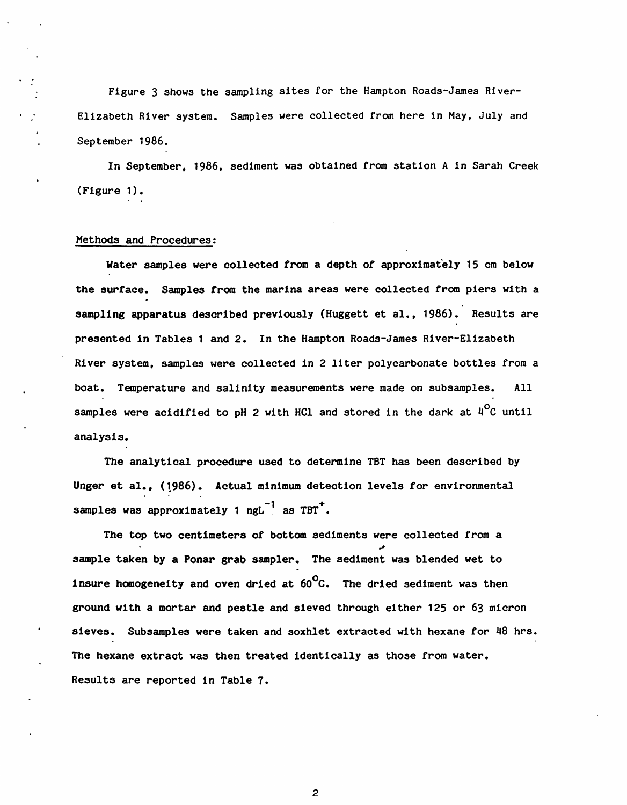Figure 3 shows the sampling sites for the Hampton Roads-James River-Elizabeth River system. Samples were collected from here in May, July and September 1986.

In September, 1986, sediment was obtained from station A in Sarah Creek (Figure 1).

#### Methods and Procedures:

**Water** samples **were** collected from a depth of approximately 15 cm below the surface. Samples from the marina areas were collected from piers with a sampling apparatus described previously (Huggett et al., 1986). Results are presented in Tables 1 and 2. In the Hampton Roads-James River-Elizabeth River system, samples were collected in 2 liter polycarbonate bottles from a boat. Temperature and salinity measurements were made on subsamples. All samples were acidified to pH 2 with HCl and stored in the dark at  $4^{\circ}$ C until analysis.

The analytical procedure used to determine TBT has been described by Unger et al., (1986). Actual minimum detection levels for environmental samples was approximately 1  $ngL^{-1}$  as TBT<sup>+</sup>.

The top two centimeters of bottom sediments were collected from a ~ sample taken by a Ponar grab sampler. The sediment was blended wet to insure homogeneity and oven dried at  $60^{\circ}$ C. The dried sediment was then ground with a mortar and pestle and sieved through either 125 or 63 micron sieves. Subsamples were taken and soxhlet extracted with hexane for 48 hrs. The hexane extract was then treated identically as those from water. Results are reported in Table 7.

2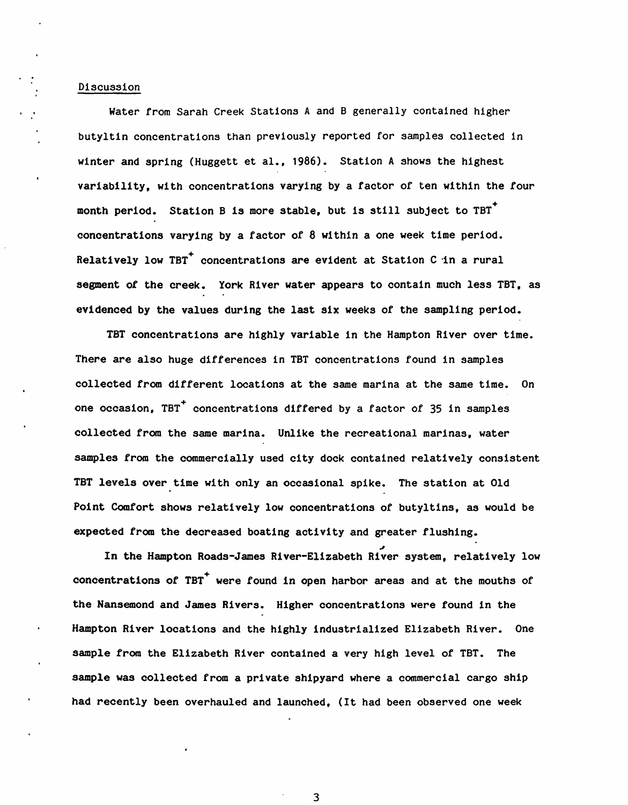#### Discussion

Water from Sarah Creek Stations A and B generally contained higher butyltin concentrations than previously reported for samples collected in winter and spring (Huggett et al., 1986). Station A shows the highest variability, with concentrations varying by a factor of ten within the *tour*  month period. Station B is more stable, but is still subject to TBT<sup>+</sup> concentrations varying by a factor of 8 within a one week time period. Relatively low TBT<sup>+</sup> concentrations are evident at Station C in a rural segment of the creek. York River water appears to contain much less TBT, as evidenced by the values during the last six weeks *ot* the sampling period.

TBT concentrations are highly variable in the Hampton River over time. There are also huge differences in TBT concentrations found in samples collected from different locations at the same marina at the same time. On one occasion, TBT<sup>+</sup> concentrations differed by a factor of  $35$  in samples collected from the same marina. Unlike the recreational marinas, water samples from the commercially used city dock contained relatively consistent TBT levels over time with only an occasional spike. The station at Old Point Comfort shows relatively low concentrations of butyltins, as would be expected from the decreased boating activity and greater flushing.

In the Hampton Roads-James River-Elizabeth River system, relatively low concentrations of TBT<sup>+</sup> were found in open harbor areas and at the mouths of the Nansemond and James Rivers. Higher concentrations were found in the Hampton River locations and the highly industrialized Elizabeth River. One sample from the Elizabeth River contained a very high level of TBT. The sample was collected from a private shipyard where a commercial cargo ship had recently been overhauled and launched, (It had been observed one week

3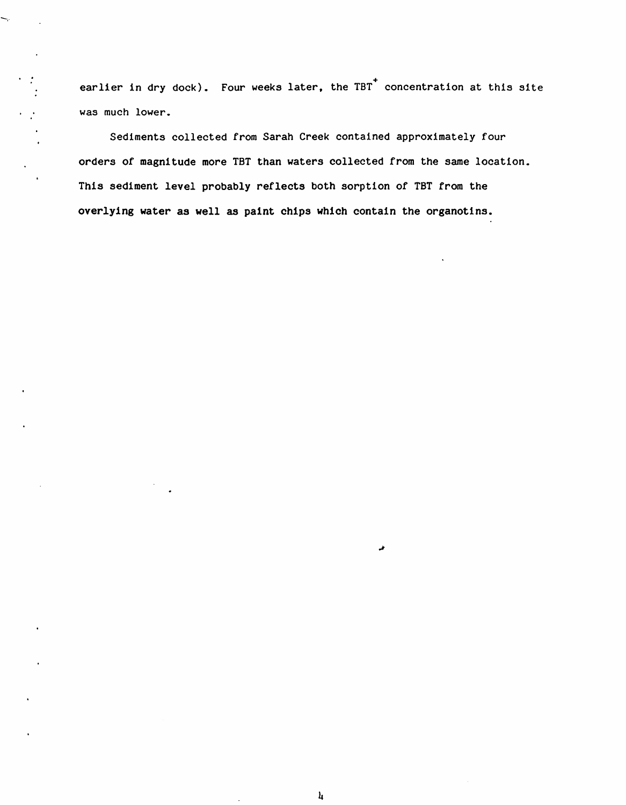earlier in dry dock). Four weeks later, the TBT concentration at this site was much lower.

ų,

 $\hat{A}$ 

Sediments collected from Sarah Creek contained approximately four orders of magnitude more TBT than waters collected from the same location. This sediment level probably reflects both sorption of TBT from the overlying water as well as paint chips which contain the organotins.

4

خہ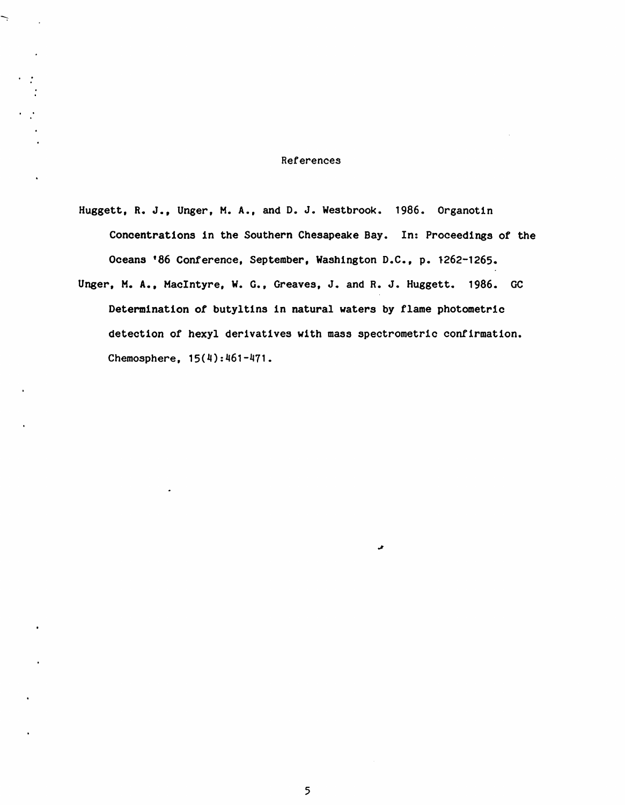#### References

Ļ

Huggett, R. J., Unger, M.A., and D. J. Westbrook. 1986. Organotin Concentrations in the Southern Chesapeake Bay. In: Proceedings of the Oceans '86 Conference, September, Washington D.C., p. 1262-1265.

Unger, **M.A.,** MacIntyre, w. G., Greaves, J. and R. J. Huggett. 1986. GC Determination of butyltins in natural waters by flame photometric detection of hexyl derivatives with mass spectrometric confirmation. Chemosphere, 15(4):461-471.

J.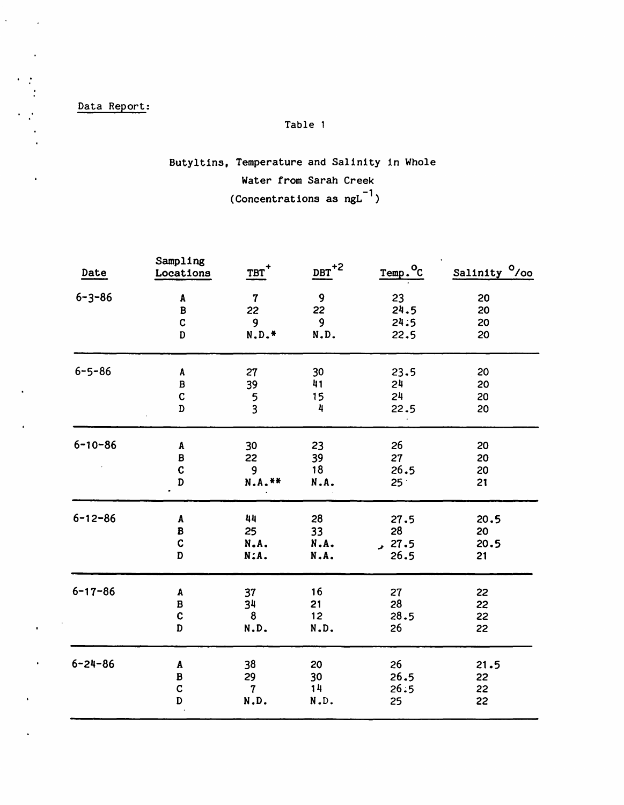Data Report:

 $\hat{\mathbf{v}}$ 

 $\mathcal{L}$ 

## Table 1

## Butyltins, Temperature and Salinity in Whole Water from Sarah Creek (Concentrations as  $ngL^{-1}$ )

| Date          | Sampling<br>Locations              | TBT              | $_{\text{DBT}}$ <sup>+2</sup> | $Temp.oC$       | Salinity <sup>O</sup> /00 |
|---------------|------------------------------------|------------------|-------------------------------|-----------------|---------------------------|
|               |                                    |                  |                               |                 |                           |
| $6 - 3 - 86$  | A                                  | $\mathbf 7$      | $\mathbf 9$                   | 23              | 20                        |
|               | $\, {\bf B}$                       | 22               | 22                            | 24.5            | 20                        |
|               | $\mathbf c$                        | $\mathbf{9}$     | $\mathbf{9}$                  | 24:5            | 20                        |
|               | D                                  | $N.D.*$          | N.D.                          | 22.5            | 20                        |
| $6 - 5 - 86$  | A                                  | 27               | 30                            | 23.5            | 20                        |
|               | $\, {\bf B}$                       | 39               | 41                            | 24              | 20                        |
|               | $\mathbf C$                        | 5                | 15                            | 24              | 20                        |
|               | $\overline{D}$                     | $\overline{3}$   | 4                             | 22.5            | 20                        |
| $6 - 10 - 86$ |                                    |                  |                               | 26              | 20                        |
|               | $\pmb{\mathtt{A}}$<br>$\, {\bf B}$ | 30               | 23                            |                 |                           |
|               | $\mathbf c$                        | 22               | 39<br>18                      | 27<br>26.5      | 20                        |
|               |                                    | $\boldsymbol{9}$ |                               |                 | 20                        |
|               | D                                  | N.A. **          | N.A.                          | 25 <sup>2</sup> | 21                        |
| $6 - 12 - 86$ | $\pmb{\Lambda}$                    | 44               | 28                            | 27.5            | 20.5                      |
|               | $\pmb B$                           | 25               | 33                            | 28              | 20                        |
|               | $\mathbf C$                        | N.A.             | N.A.                          | 27.5            | 20.5                      |
|               | D                                  | N:A.             | N.A.                          | 26.5            | 21                        |
| $6 - 17 - 86$ | A                                  | 37               | 16                            | 27              | 22                        |
|               | $\, {\bf B}$                       | 34               | 21                            | 28              | 22                        |
|               | $\mathbf C$                        | 8                | 12                            | 28.5            | 22                        |
|               | D                                  | N.D.             | N.D.                          | 26              | 22                        |
|               |                                    |                  |                               |                 |                           |
| $6 - 24 - 86$ | $\pmb{\mathtt{A}}$                 | 38               | 20                            | 26              | 21.5                      |
|               | $\, {\bf B}$                       | 29               | 30                            | 26.5            | 22                        |
|               | $\mathbf C$                        | $\overline{7}$   | 14                            | 26:5            | 22                        |
|               | D                                  | N.D.             | N.D.                          | 25              | 22                        |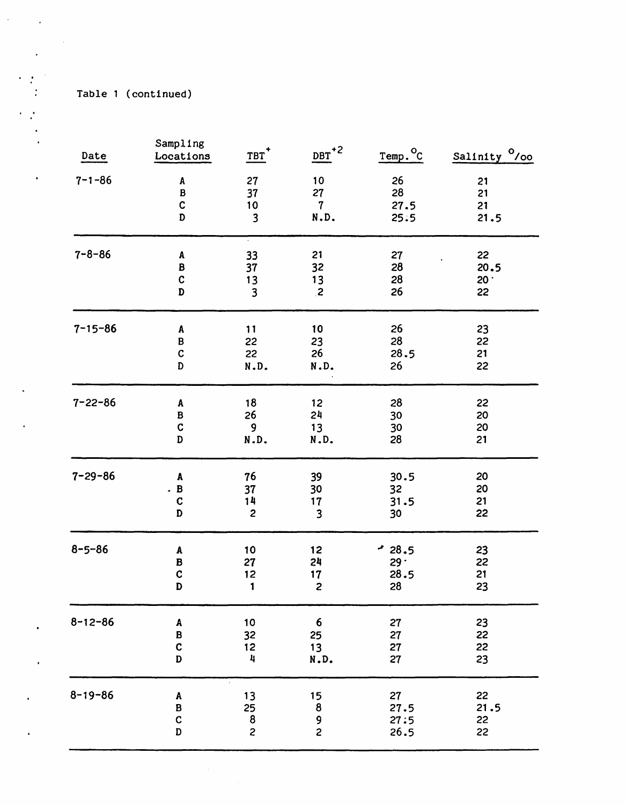Table 1 (continued)

| Date          | Sampling<br>Locations             | $TBT$ <sup>+</sup>              | $DBT$ <sup>+2</sup>      | Temp. <sup>o</sup> c       | Salinity <sup>0</sup> /00 |
|---------------|-----------------------------------|---------------------------------|--------------------------|----------------------------|---------------------------|
| $7 - 1 - 86$  | A                                 | 27                              | 10                       | 26                         | 21                        |
|               | $\, {\bf B}$                      | 37                              | 27                       | 28                         | 21                        |
|               | $\mathbf C$                       | 10                              | $\boldsymbol{7}$         | 27.5                       | 21                        |
|               | $\mathbf D$                       | $\overline{\mathbf{3}}$         | N.D.                     | 25.5                       | 21.5                      |
| $7 - 8 - 86$  | A                                 | 33                              | 21                       | 27                         | 22                        |
|               | B                                 | 37                              | 32                       | 28                         | 20.5                      |
|               | $\mathbf c$                       | 13                              | 13                       | 28                         | 20.                       |
|               | D                                 | $\mathbf{3}$                    | $\overline{c}$           | 26                         | 22                        |
| $7 - 15 - 86$ | A                                 | 11                              | 10                       | 26                         | 23                        |
|               | B                                 | 22                              | 23                       | 28                         | 22                        |
|               | $\mathbf C$                       | 22                              | 26                       | 28.5                       | 21                        |
|               | D                                 | N.D.                            | N.D.                     | 26                         | 22                        |
| $7 - 22 - 86$ | A                                 | 18                              | 12                       | 28                         | 22                        |
|               | $\, {\bf B}$                      | 26                              | 24                       | 30                         | 20                        |
|               | $\mathbf C$                       | 9                               | 13                       | 30                         | 20                        |
|               | D                                 | N.D.                            | N.D.                     | 28                         | 21                        |
| $7 - 29 - 86$ | A                                 | 76                              | 39                       | 30.5                       | 20                        |
|               | B                                 | 37                              | 30                       | 32                         | 20                        |
|               | $\mathbf C$                       | 14                              | 17                       | 31.5                       | 21                        |
|               | D                                 | $\overline{c}$                  | $\overline{\mathbf{3}}$  | 30                         | 22                        |
| $8 - 5 - 86$  | A                                 | 10                              | 12                       | $-28.5$                    | 23                        |
|               | B                                 | 27                              | 24                       | 29.                        | 22                        |
|               | $\mathbf c$                       | 12                              | 17                       | 28.5                       | 21                        |
|               | D                                 | 1                               | $\overline{c}$           | 28                         | 23                        |
| $8 - 12 - 86$ | A                                 | 10                              | 6                        | 27                         | 23                        |
|               | $\, {\bf B}$                      | 32                              | 25                       | 27                         | 22                        |
|               | $\mathbf c$                       | 12                              | 13                       | 27                         | 22                        |
|               | D                                 | 4                               | N.D.                     | 27                         | 23                        |
| $8 - 19 - 86$ | $\pmb{\mathtt{A}}$<br>B<br>C<br>D | 13<br>25<br>8<br>$\overline{c}$ | 15<br>8<br>$\frac{9}{2}$ | 27<br>27.5<br>27:5<br>26.5 | 22<br>21.5<br>22<br>22    |

 $\sqrt{2}$ 

 $\sim 10$ 

 $\cdot$ 

 $\mathbf{r}$ 

 $\bullet$ 

 $\sim$   $\sim$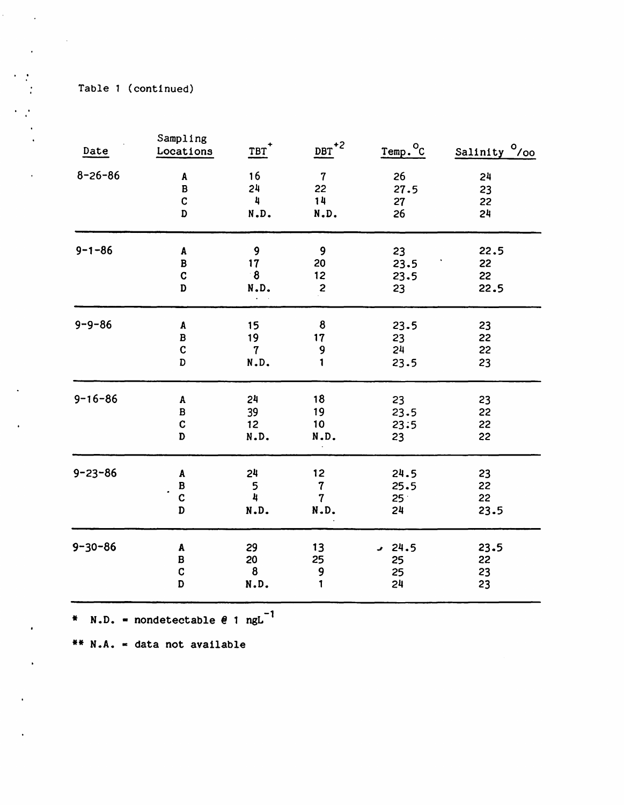$\mathcal{L}^{\text{max}}_{\text{max}}$ 

 $\mathbf{v}=\mathbf{v}$  $\mathcal{A}^{\text{max}}$ 

 $\epsilon \rightarrow 0$ 

 $\mathbf{r}$ 

 $\mathcal{A}^{\pm}$ 

 $\ddot{\phantom{a}}$ 

 $\bullet$ 

 $\bullet$ 

 $\bullet$ 

 $\ddot{\phantom{a}}$ 

| Date          | Sampling<br>Locations                | $TBT$ <sup>+</sup>            | $DBT$ <sup>+2</sup>                               | Temp. <sup>o</sup> c                  | Salinity <sup>0</sup> /00 |
|---------------|--------------------------------------|-------------------------------|---------------------------------------------------|---------------------------------------|---------------------------|
| $8 - 26 - 86$ | A                                    | 16                            | $\overline{7}$                                    | 26                                    | 24                        |
|               | $\, {\bf B}$                         | 24                            | 22                                                | 27.5                                  | 23                        |
|               | $\mathbf C$                          | 4                             | 14                                                | 27                                    | 22                        |
|               | D                                    | N.D.                          | N.D.                                              | 26                                    | 24                        |
| $9 - 1 - 86$  | A                                    | 9                             | 9                                                 | 23                                    | 22.5                      |
|               | $\, {\bf B}$                         | 17                            | 20                                                | 23.5                                  | 22                        |
|               | $\mathbf C$                          | $\ddot{\mathbf{8}}$           | 12                                                | 23.5                                  | 22                        |
|               | D                                    | N.D.                          | $\mathbf{z}$                                      | 23                                    | 22.5                      |
| $9 - 9 - 86$  | $\pmb{\mathtt{A}}$                   | 15                            | 8                                                 | 23.5                                  | 23                        |
|               | B                                    | 19                            | 17                                                | 23                                    | 22                        |
|               | $\mathbf C$                          | $\boldsymbol{7}$              | 9                                                 | 24                                    | 22                        |
|               | D                                    | N.D.                          | 1                                                 | 23.5                                  | 23                        |
| $9 - 16 - 86$ | A                                    | 24                            | 18                                                | 23                                    | 23                        |
|               | $\, {\bf B}$                         | 39                            | 19                                                | 23.5                                  | 22                        |
|               | $\mathbf C$                          | 12                            | 10                                                | 23:5                                  | 22                        |
|               | D                                    | N.D.                          | N.D.                                              | 23                                    | 22                        |
| $9 - 23 - 86$ | A<br>$\mathbf B$<br>$\mathbf c$<br>D | 24<br>5<br>4<br>N.D.          | 12<br>$\boldsymbol{7}$<br>$\overline{7}$<br>N.D.  | 24.5<br>25.5<br>25 <sup>2</sup><br>24 | 23<br>22<br>22<br>23.5    |
| $9 - 30 - 86$ | A<br>B<br>$\mathbf C$<br>$\mathbf D$ | 29<br>20<br>$\pmb{8}$<br>N.D. | 13<br>25<br>$\begin{array}{c} 9 \\ 1 \end{array}$ | $-24.5$<br>25<br>25<br>24             | 23.5<br>22<br>23<br>23    |

\*  $N.D.$  = nondetectable  $e$  1 ngL<sup>-1</sup>

\*\* **N .A.** • data not available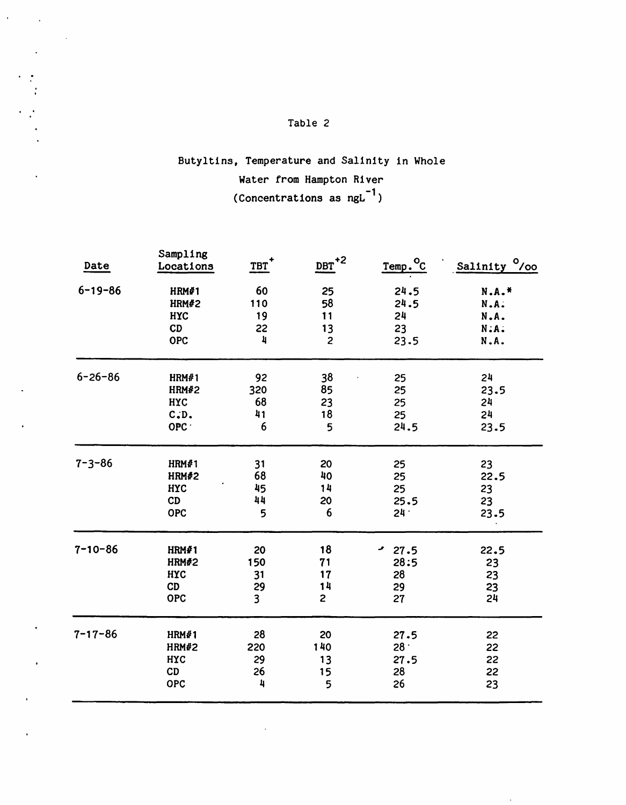$\mathcal{L}^{\text{max}}(\mathcal{L})$ 

 $\ddot{\phantom{a}}$ 

 $\sim 10^{11}$ 

## Butyltins, Temperature and Salinity in Whole Water from Hampton River (Concentrations as ng $L^{-1}$ )

| Date          | Sampling<br>Locations | $TBT$ <sup>+</sup>      | $\overline{\text{DBT}}^{+2}$ | Temp. <sup>o</sup> C | Salinity <sup>0</sup> /00 |
|---------------|-----------------------|-------------------------|------------------------------|----------------------|---------------------------|
| $6 - 19 - 86$ | HRM#1                 | 60                      | 25                           | 24.5                 | N.A.*                     |
|               | HRM#2                 | 110                     | 58                           | 24.5                 | N.A.                      |
|               | <b>HYC</b>            | 19                      | 11                           | 24                   | N.A.                      |
|               | CD                    | 22                      | 13                           | 23                   | $N:A$ .                   |
|               | OPC                   | 4                       | $\overline{c}$               | 23.5                 | N.A.                      |
| $6 - 26 - 86$ | HRM#1                 | 92                      | 38                           | 25                   | 24                        |
|               | <b>HRM#2</b>          | 320                     | 85                           | 25                   | 23.5                      |
|               | HYC                   | 68                      | 23                           | 25                   | 24                        |
|               | C.D.                  | 41                      | 18                           | 25                   | 24                        |
|               | OPC ·                 | 6                       | 5                            | 24.5                 | 23.5                      |
| $7 - 3 - 86$  | HRM#1                 | 31                      | 20                           | 25                   | 23                        |
|               | HRM#2                 | 68                      | 40                           | 25                   | 22.5                      |
|               | <b>HYC</b>            | 45                      | 14                           | 25                   | 23                        |
|               | CD                    | 44                      | 20                           | 25.5                 | 23                        |
|               | OPC                   | 5                       | 6                            | $24 -$               | 23.5                      |
| $7 - 10 - 86$ | HRM#1                 | 20                      | 18                           | $-27.5$              | 22.5                      |
|               | <b>HRM#2</b>          | 150                     | 71                           | 28:5                 | 23                        |
|               | <b>HYC</b>            | 31                      | 17                           | 28                   | 23                        |
|               | CD                    | 29                      | 14                           | 29                   | 23                        |
|               | OPC                   | $\overline{\mathbf{3}}$ | $\overline{2}$               | 27                   | 24                        |
| $7 - 17 - 86$ | HRM#1                 | 28                      | 20                           | 27.5                 | 22                        |
|               | <b>HRM#2</b>          | 220                     | 140                          | 28 $\cdot$           | 22                        |
|               | HYC                   | 29                      | 13                           | 27.5                 | 22                        |
|               | CD                    | 26                      | 15                           | 28                   | 22                        |
|               | <b>OPC</b>            | 4                       | 5                            | 26                   | 23                        |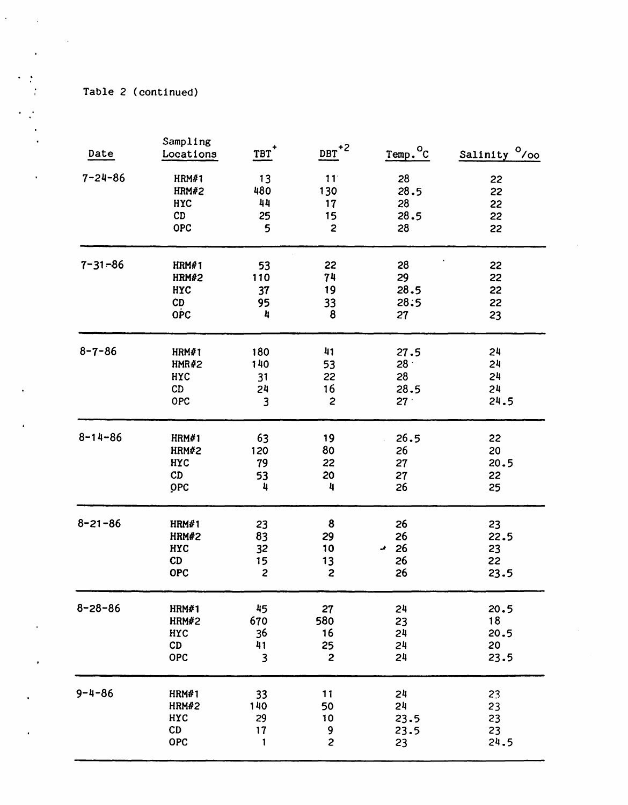Table 2 (continued)

|               | Sampling     |                         |                              |                                |                           |
|---------------|--------------|-------------------------|------------------------------|--------------------------------|---------------------------|
| Date          | Locations    | $TBT$ <sup>+</sup>      | $\overline{\text{DBT}}^{+2}$ | Temp. <sup>o</sup> c           | Salinity <sup>O</sup> /00 |
| $7 - 24 - 86$ | HRM#1        | 13                      | 11                           | 28                             | 22                        |
|               | HRM#2        | 480                     | 130                          | 28.5                           | 22                        |
|               | <b>HYC</b>   | 44                      | 17                           | 28                             | 22                        |
|               | CD           | 25                      | 15                           | 28.5                           | 22                        |
|               | <b>OPC</b>   | 5                       | $\overline{\mathbf{c}}$      | 28                             | 22                        |
| $7 - 31 - 86$ | HRM#1        | 53                      | 22                           | 28                             | 22                        |
|               | HRM#2        | 110                     | 74                           | 29                             | 22                        |
|               | HYC          | 37                      | 19                           | 28.5                           | 22                        |
|               | CD           | 95                      | 33                           | 28.5                           | 22                        |
|               | <b>OPC</b>   | 4                       | 8                            | 27                             | 23                        |
| $8 - 7 - 86$  | HRM#1        | 180                     | 41                           |                                | 24                        |
|               | <b>HMR#2</b> | 140                     | 53                           | 27.5<br>28 <sup>o</sup>        | 24                        |
|               | HYC          | 31                      | 22                           | 28                             | 24                        |
|               | CD           | 24                      | 16                           | 28.5                           | 24                        |
|               | <b>OPC</b>   | 3                       | $\overline{c}$               | 27 <sup>2</sup>                | 24.5                      |
|               |              |                         |                              |                                |                           |
| $8 - 14 - 86$ | HRM#1        | 63                      | 19                           | 26.5                           | 22                        |
|               | HRM#2        | 120                     | 80                           | 26                             | 20                        |
|               | <b>HYC</b>   | 79                      | 22                           | 27                             | 20.5                      |
|               | CD           | 53                      | 20                           | 27                             | 22                        |
|               | OPC          | 4                       | 4                            | 26                             | 25                        |
| $8 - 21 - 86$ | HRM#1        | 23                      | 8                            | 26                             | 23                        |
|               | <b>HRM#2</b> | 83                      | 29                           | 26                             | 22.5                      |
|               | <b>HYC</b>   | 32                      | 10                           | 26<br>$\overline{\phantom{a}}$ | 23                        |
|               | CD           | 15                      | 13                           | 26                             | 22                        |
|               | OPC          | $\overline{c}$          | $\overline{\mathbf{c}}$      | 26                             | 23.5                      |
| $8 - 28 - 86$ | HRM#1        | 45                      | 27                           | 24                             | 20.5                      |
|               | HRM#2        | 670                     | 580                          | 23                             | 18                        |
|               | HYC          | 36                      | 16                           | 24                             | 20.5                      |
|               | CD           | 41                      | 25                           | 24                             | 20                        |
|               | OPC          | $\overline{\mathbf{3}}$ | $\overline{\mathbf{c}}$      | 24                             | 23.5                      |
| $9 - 4 - 86$  | HRM#1        | 33                      | 11                           | 24                             | 23                        |
|               | HRM#2        | 140                     | 50                           | 24                             | 23                        |
|               | HYC          | 29                      | 10                           | 23.5                           | 23                        |
|               | CD           | 17                      | 9                            | 23.5                           | 23                        |
|               | OPC          | 1                       | $\overline{c}$               | 23                             | 24.5                      |
|               |              |                         |                              |                                |                           |

 $\ddot{\phantom{0}}$ 

 $\sim$   $\sim$ 

 $\cdot$ 

 $\sim$   $\sim$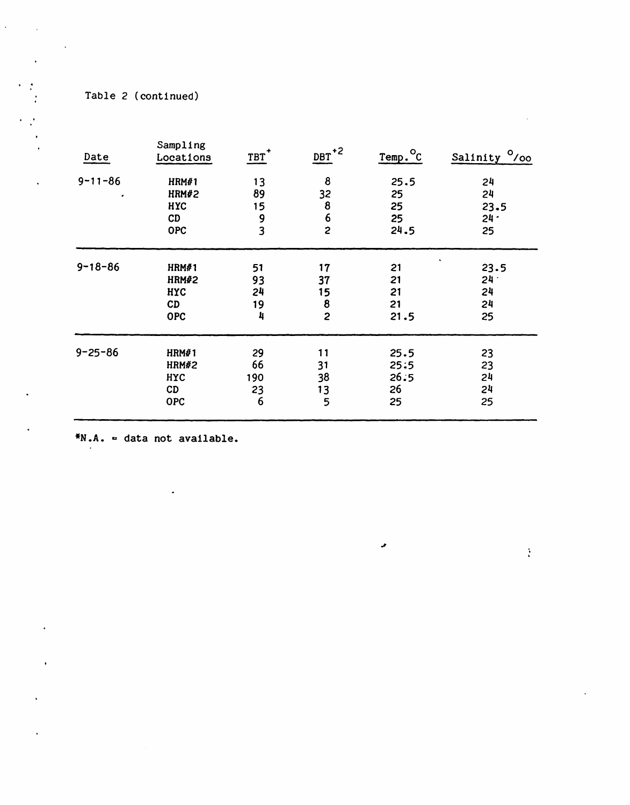Table 2 (continued)

 $\overline{\phantom{a}}$  .

 $\ddot{\phantom{1}}$ 

 $\ddot{\phantom{a}}$ 

|            | $\mathbf{L}$                                                                    | $DBT+2$                                                                       | $Temp.^{\circ}c$                                                                       | Salinity <sup>0</sup> /00                          |
|------------|---------------------------------------------------------------------------------|-------------------------------------------------------------------------------|----------------------------------------------------------------------------------------|----------------------------------------------------|
| HRM#1      | 13                                                                              | 8                                                                             | 25.5                                                                                   | 24                                                 |
| HRM#2      | 89                                                                              | 32                                                                            | 25                                                                                     | 24                                                 |
| <b>HYC</b> | 15                                                                              |                                                                               | 25                                                                                     | 23.5                                               |
| CD         |                                                                                 |                                                                               |                                                                                        | $24 -$                                             |
| <b>OPC</b> |                                                                                 |                                                                               | 24.5                                                                                   | 25                                                 |
|            |                                                                                 |                                                                               |                                                                                        | $\bullet$<br>23.5                                  |
|            |                                                                                 |                                                                               |                                                                                        | $24 -$                                             |
|            |                                                                                 |                                                                               |                                                                                        | 24                                                 |
| CD         |                                                                                 |                                                                               | 21                                                                                     | 24                                                 |
| <b>OPC</b> | 4                                                                               | $\overline{c}$                                                                | 21.5                                                                                   | 25                                                 |
|            |                                                                                 |                                                                               |                                                                                        | 23                                                 |
|            |                                                                                 |                                                                               |                                                                                        | 23                                                 |
|            |                                                                                 |                                                                               |                                                                                        | 24                                                 |
|            |                                                                                 |                                                                               |                                                                                        | 24                                                 |
| <b>OPC</b> | 6                                                                               | 5                                                                             | 25                                                                                     | 25                                                 |
|            | Locations<br>HRM#1<br><b>HRM#2</b><br>HYC<br>HRM#1<br>HRM#2<br><b>HYC</b><br>CD | 9<br>$\overline{\mathbf{3}}$<br>51<br>93<br>24<br>19<br>29<br>66<br>190<br>23 | 8<br>$\boldsymbol{6}$<br>$\overline{c}$<br>17<br>37<br>15<br>8<br>11<br>31<br>38<br>13 | 25<br>21<br>21<br>21<br>25.5<br>25:5<br>26:5<br>26 |

 $\pmb{\cdot}$ 

**\*N.A.** c data not available.

l,

 $\frac{1}{4}$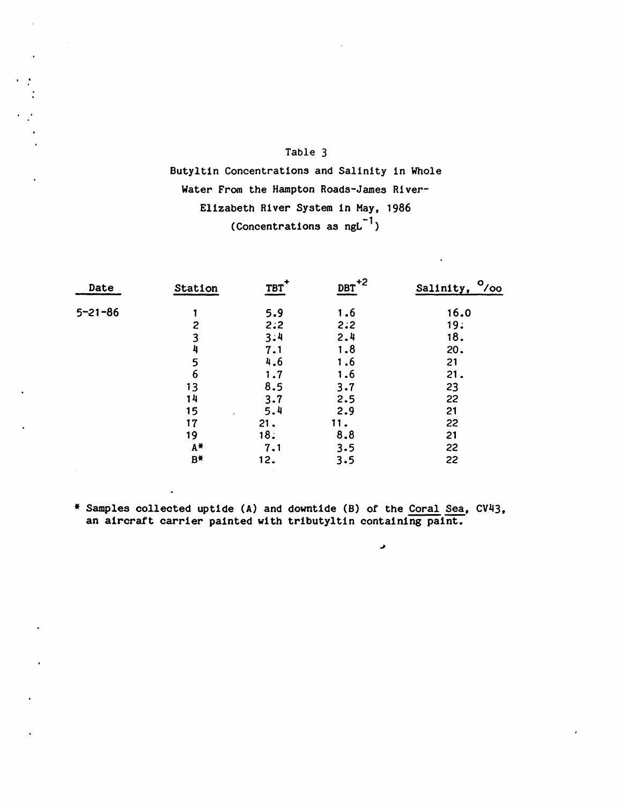Butyltin Concentrations and Salinity in Whole Water From the Hampton Roads-James River-Elizabeth River System in May, 1986 (Concentrations as  $ngL^{-1}$ )

| Date          | Station      | TBT | $DBT$ <sup>+2</sup> | $^{\circ}$<br>Salinity, |
|---------------|--------------|-----|---------------------|-------------------------|
| $5 - 21 - 86$ |              | 5.9 | 1.6                 | 16.0                    |
|               | $\mathbf{2}$ | 2:2 | 2:2                 | 19:                     |
|               | 3            | 3:4 | 2.4                 | 18.                     |
|               | 4            | 7.1 | 1.8                 | 20.                     |
|               | 5            | 4.6 | 1.6                 | 21                      |
|               | 6            | 1.7 | 1.6                 | 21.                     |
|               | 13           | 8.5 | 3.7                 | 23                      |
|               | 14           | 3.7 | 2.5                 | 22                      |
|               | 15           | 5.4 | 2.9                 | 21                      |
|               | 17           | 21. | 11.                 | 22                      |
|               | 19           | 18. | 8.8                 | 21                      |
|               | A*           | 7.1 | 3.5                 | 22                      |
|               | $B^*$        | 12. | 3.5                 | 22                      |

\* Samples collected uptide (A) and downtide (B) of the Coral Sea, CV43, an aircraft carrier painted with tributyltin containing paint.

 $\hat{\phantom{a}}$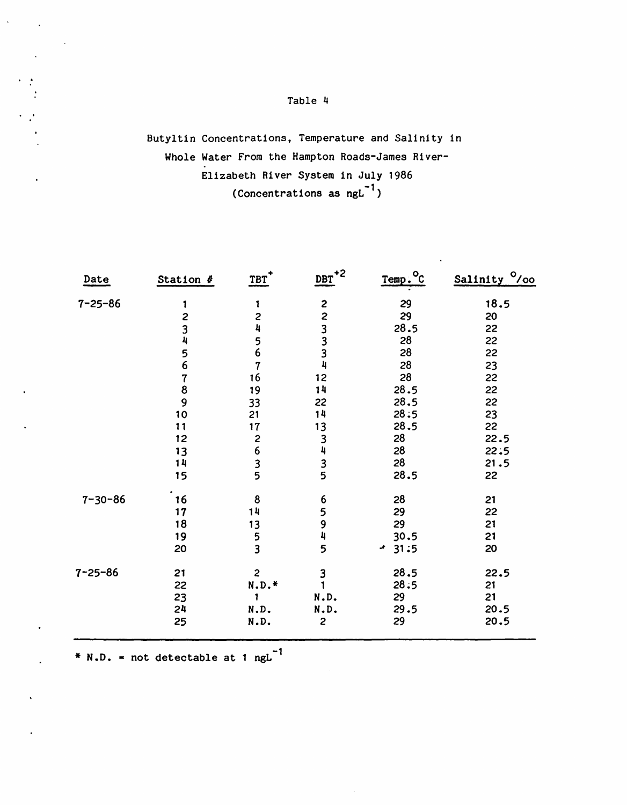## Butyltin Concentrations, Temperature and Salinity in Whole Water From the Hampton Roads-James River-Elizabeth River System in July 1986 (Concentrations as  $ngL^{-1}$ )

| $7 - 25 - 86$<br>223334<br>29<br>18.5<br>1<br>1<br>29<br>$\overline{\mathbf{c}}$<br>$\overline{\mathbf{c}}$<br>20<br>$\frac{3}{4}$<br>4<br>28.5<br>22<br>28<br>22<br>$\frac{5}{6}$<br>$\frac{5}{6}$<br>28<br>22<br>28<br>23<br>7<br>28<br>$\overline{7}$<br>12<br>16<br>22<br>8<br>14<br>28.5<br>22<br>19<br>$\overline{9}$<br>28.5<br>22<br>33<br>22<br>10<br>14<br>28:5<br>23<br>21<br>13<br>28.5<br>22<br>17<br>11<br>3435<br>28<br>2635<br>22.5<br>12<br>28<br>13<br>22:5<br>28<br>14<br>21.5<br>28.5<br>15<br>22<br>$7 - 30 - 86$<br>8<br>6594<br>28<br>16<br>21<br>14<br>29<br>22<br>17<br>29<br>18<br>13<br>21<br>$\frac{5}{3}$<br>19<br>30.5<br>21<br>5<br>20<br>$-31:5$<br>20<br>7-25-86<br>$\mathbf{c}$<br>28.5<br>$\frac{3}{1}$<br>21<br>22.5<br>28:5<br>$N.D.*$<br>22<br>21<br>21<br>29<br>23<br>N.D.<br>20.5<br>24<br>29.5<br>N.D.<br>N.D.<br>$\overline{c}$<br>29<br>20.5<br>25<br>N.D. | Date | Station # | $IBT$ <sup>+</sup> | $DEF+2$ | Temp. <sup>o</sup> c | Salinity <sup>0</sup> /00 |
|-------------------------------------------------------------------------------------------------------------------------------------------------------------------------------------------------------------------------------------------------------------------------------------------------------------------------------------------------------------------------------------------------------------------------------------------------------------------------------------------------------------------------------------------------------------------------------------------------------------------------------------------------------------------------------------------------------------------------------------------------------------------------------------------------------------------------------------------------------------------------------------------------------|------|-----------|--------------------|---------|----------------------|---------------------------|
|                                                                                                                                                                                                                                                                                                                                                                                                                                                                                                                                                                                                                                                                                                                                                                                                                                                                                                       |      |           |                    |         |                      |                           |
|                                                                                                                                                                                                                                                                                                                                                                                                                                                                                                                                                                                                                                                                                                                                                                                                                                                                                                       |      |           |                    |         |                      |                           |
|                                                                                                                                                                                                                                                                                                                                                                                                                                                                                                                                                                                                                                                                                                                                                                                                                                                                                                       |      |           |                    |         |                      |                           |
|                                                                                                                                                                                                                                                                                                                                                                                                                                                                                                                                                                                                                                                                                                                                                                                                                                                                                                       |      |           |                    |         |                      |                           |
|                                                                                                                                                                                                                                                                                                                                                                                                                                                                                                                                                                                                                                                                                                                                                                                                                                                                                                       |      |           |                    |         |                      |                           |
|                                                                                                                                                                                                                                                                                                                                                                                                                                                                                                                                                                                                                                                                                                                                                                                                                                                                                                       |      |           |                    |         |                      |                           |
|                                                                                                                                                                                                                                                                                                                                                                                                                                                                                                                                                                                                                                                                                                                                                                                                                                                                                                       |      |           |                    |         |                      |                           |
|                                                                                                                                                                                                                                                                                                                                                                                                                                                                                                                                                                                                                                                                                                                                                                                                                                                                                                       |      |           |                    |         |                      |                           |
|                                                                                                                                                                                                                                                                                                                                                                                                                                                                                                                                                                                                                                                                                                                                                                                                                                                                                                       |      |           |                    |         |                      |                           |
|                                                                                                                                                                                                                                                                                                                                                                                                                                                                                                                                                                                                                                                                                                                                                                                                                                                                                                       |      |           |                    |         |                      |                           |
|                                                                                                                                                                                                                                                                                                                                                                                                                                                                                                                                                                                                                                                                                                                                                                                                                                                                                                       |      |           |                    |         |                      |                           |
|                                                                                                                                                                                                                                                                                                                                                                                                                                                                                                                                                                                                                                                                                                                                                                                                                                                                                                       |      |           |                    |         |                      |                           |
|                                                                                                                                                                                                                                                                                                                                                                                                                                                                                                                                                                                                                                                                                                                                                                                                                                                                                                       |      |           |                    |         |                      |                           |
|                                                                                                                                                                                                                                                                                                                                                                                                                                                                                                                                                                                                                                                                                                                                                                                                                                                                                                       |      |           |                    |         |                      |                           |
|                                                                                                                                                                                                                                                                                                                                                                                                                                                                                                                                                                                                                                                                                                                                                                                                                                                                                                       |      |           |                    |         |                      |                           |
|                                                                                                                                                                                                                                                                                                                                                                                                                                                                                                                                                                                                                                                                                                                                                                                                                                                                                                       |      |           |                    |         |                      |                           |
|                                                                                                                                                                                                                                                                                                                                                                                                                                                                                                                                                                                                                                                                                                                                                                                                                                                                                                       |      |           |                    |         |                      |                           |
|                                                                                                                                                                                                                                                                                                                                                                                                                                                                                                                                                                                                                                                                                                                                                                                                                                                                                                       |      |           |                    |         |                      |                           |
|                                                                                                                                                                                                                                                                                                                                                                                                                                                                                                                                                                                                                                                                                                                                                                                                                                                                                                       |      |           |                    |         |                      |                           |
|                                                                                                                                                                                                                                                                                                                                                                                                                                                                                                                                                                                                                                                                                                                                                                                                                                                                                                       |      |           |                    |         |                      |                           |
|                                                                                                                                                                                                                                                                                                                                                                                                                                                                                                                                                                                                                                                                                                                                                                                                                                                                                                       |      |           |                    |         |                      |                           |
|                                                                                                                                                                                                                                                                                                                                                                                                                                                                                                                                                                                                                                                                                                                                                                                                                                                                                                       |      |           |                    |         |                      |                           |
|                                                                                                                                                                                                                                                                                                                                                                                                                                                                                                                                                                                                                                                                                                                                                                                                                                                                                                       |      |           |                    |         |                      |                           |
|                                                                                                                                                                                                                                                                                                                                                                                                                                                                                                                                                                                                                                                                                                                                                                                                                                                                                                       |      |           |                    |         |                      |                           |
|                                                                                                                                                                                                                                                                                                                                                                                                                                                                                                                                                                                                                                                                                                                                                                                                                                                                                                       |      |           |                    |         |                      |                           |

\*  $N.D.$  = not detectable at 1 ngL<sup>-1</sup>

 $\hat{\mathbf{v}}$ 

 $\sim$   $\sim$ 

 $\cdot$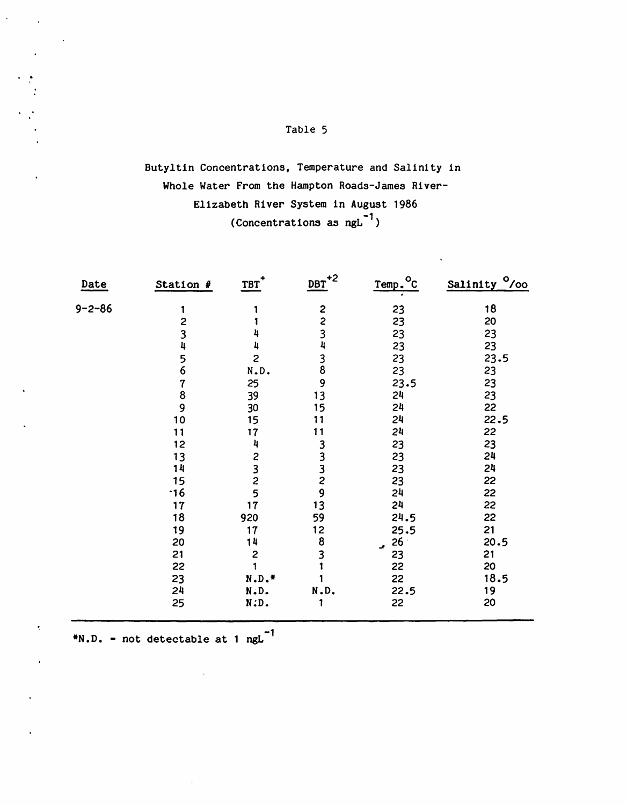## Butyltin Concentrations, Temperature and Salinity in Whole Water From the Hampton Roads-James River-Elizabeth River System in August 1986 (Concentrations as  $ngL^{-1}$ )

| Date         | Station #      | $IBT$ <sup>+</sup>                                  | $DBT$ <sup>+2</sup>                         | $^{\circ}$ c<br>Temp. | Salinity <sup>o</sup> /00 |
|--------------|----------------|-----------------------------------------------------|---------------------------------------------|-----------------------|---------------------------|
| $9 - 2 - 86$ | 1              |                                                     |                                             | 23                    | 18                        |
|              | 2              |                                                     |                                             | 23                    | 20                        |
|              |                |                                                     |                                             | 23                    | 23                        |
|              | $\frac{3}{4}$  |                                                     |                                             | 23                    | 23                        |
|              |                | $\overline{c}$                                      | 2234389                                     | 23                    | 23.5                      |
|              | 5<br>6         | N.D.                                                |                                             | 23                    | 23                        |
|              | $\overline{7}$ | 25                                                  |                                             | 23.5                  | 23                        |
|              | 8              | 39                                                  | 13                                          | 24                    | 23                        |
|              | 9              | 30                                                  | 15                                          | 24                    | 22                        |
|              | 10             | 15                                                  | 11                                          | 24                    | 22.5                      |
|              | 11             | 17                                                  | 11                                          | 24                    | 22                        |
|              | 12             | 4                                                   |                                             | 23                    | 23                        |
|              | 13             |                                                     | 3332913                                     | 23                    | 24                        |
|              | 14             | $\begin{array}{c}\n 2 \\ 3 \\ 2 \\ 5\n \end{array}$ |                                             | 23                    | 24                        |
|              | 15             |                                                     |                                             | 23                    | 22                        |
|              | $\cdot$ 16     |                                                     |                                             | 24                    | 22                        |
|              | 17             | 17                                                  |                                             | 24                    | 22                        |
|              | 18             | 920                                                 | 59                                          | 24.5                  | 22                        |
|              | 19             | 17                                                  | $\begin{array}{c} 12 \\ 8 \\ 3 \end{array}$ | 25.5                  | 21                        |
|              | 20             | 14                                                  |                                             | 26<br>J.              | 20.5                      |
|              | 21             | $\overline{c}$                                      |                                             | 23                    | 21                        |
|              | 22             |                                                     |                                             | 22                    | 20                        |
|              | 23             | $N.D.*$                                             |                                             | 22                    | 18.5                      |
|              | 24             | N.D.                                                | N.D.                                        | 22.5                  | 19                        |
|              | 25             | N.D.                                                |                                             | 22                    | 20                        |

 $*N.D.$  = not detectable at 1 ngL<sup>-1</sup>

 $\sim 10$ 

I •

 $\cdot$ 

 $\ddot{\phantom{0}}$ 

 $\mathcal{L}^{\mathcal{L}}$ 

 $\ddot{\phantom{0}}$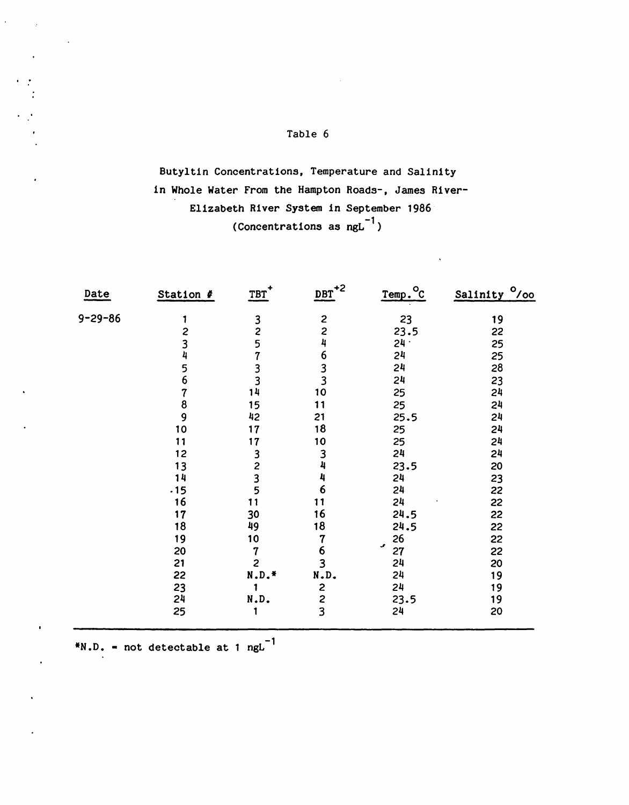Butyltin Concentrations, Temperature and Salinity in Whole Water From the Hampton Roads-, James River-Elizabeth River System in September 1986 (Concentrations as  $ngL^{-1}$ )

| Date          | Station #     | $TBT$ <sup>+</sup>                                  | $DBT^{\ast 2}$                             | Temp. <sup>o</sup> c | Salinity <sup>0</sup> /00 |
|---------------|---------------|-----------------------------------------------------|--------------------------------------------|----------------------|---------------------------|
| $9 - 29 - 86$ | 1             |                                                     |                                            | 23                   | 19                        |
|               | 2             | $\frac{3}{2}$                                       |                                            | 23.5                 | 22                        |
|               |               |                                                     |                                            | $24 -$               | 25                        |
|               | $\frac{3}{4}$ |                                                     |                                            | 24                   | 25                        |
|               | $\frac{5}{6}$ | 5733                                                | 2<br>2<br>4<br>6<br>3<br>3<br>3<br>3<br>0  | 24                   | 28                        |
|               |               |                                                     |                                            | 24                   | 23                        |
|               | 7             | 14                                                  |                                            | 25                   | 24                        |
|               | 8             | 15                                                  | 11                                         | 25                   | 24                        |
|               | 9             | 42                                                  | 21                                         | 25.5                 | 24                        |
|               | 10            | 17                                                  | 18                                         | 25                   | 24                        |
|               | 11            | 17                                                  | 10                                         | 25                   | 24                        |
|               | 12            |                                                     |                                            | 24                   | 24                        |
|               | 13            | $\begin{array}{c}\n 3 \\ 2 \\ 3 \\ 5\n \end{array}$ | $\frac{3}{4}$                              | 23.5                 | 20                        |
|               | 14            |                                                     | 4                                          | 24                   | 23                        |
|               | .15           |                                                     | 6                                          | 24                   | 22                        |
|               | 16            | 11                                                  | 11                                         | 24                   | 22                        |
|               | 17            | 30                                                  | 16                                         | 24.5                 | 22                        |
|               | 18            | 49                                                  | 18                                         | 24.5                 | 22                        |
|               | 19            | 10                                                  | $\overline{7}$                             | 26                   | 22                        |
|               | 20            | $\overline{\mathcal{U}}$                            | $\frac{6}{3}$                              | ٠<br>27              | 22                        |
|               | 21            | $\overline{\mathbf{c}}$                             |                                            | 24                   | 20                        |
|               | 22            | $\texttt{N.D.}{}^{\#}$                              | N.D.                                       | 24                   | 19                        |
|               | 23            | 1                                                   |                                            | 24                   | 19                        |
|               | 24            | N.D.                                                | $\begin{array}{c} 2 \\ 2 \\ 3 \end{array}$ | 23.5                 | 19                        |
|               | 25            |                                                     |                                            | 24                   | 20                        |

 $N.D.$  = not detectable at 1 ngL<sup>-1</sup>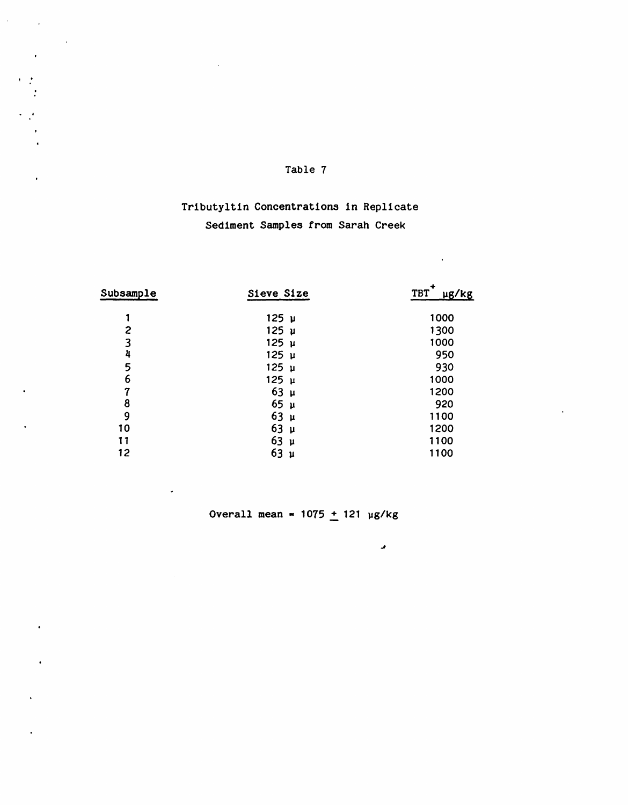$\hat{\vec{r}}$ 

 $\sim 10^7$ 

## Trlbutyltin Concentrations in Replicate Sediment Samples from Sarah Creek

| Subsample        | Sieve Size           | $\ddot{}$<br>TBT<br>ug/kg |
|------------------|----------------------|---------------------------|
|                  | $125 \mu$            | 1000                      |
| 2                | $125 \mu$            | 1300                      |
| 3                | 125 μ                | 1000                      |
| 4                | $125 \mu$            | 950                       |
| 5                | $125 \mu$            | 930                       |
| 6                | $125 \mu$            | 1000                      |
| $\boldsymbol{7}$ | $63 \mu$             | 1200                      |
| 8                | 65 <sub>µ</sub>      | 920                       |
| 9                | $63 \mu$             | 1100                      |
| 10               | 63 <sub>µ</sub>      | 1200                      |
| 11               | 63<br>$\mathbf{\mu}$ | 1100                      |
| 12               | 63<br>$\mathbf{\mu}$ | 1100                      |
|                  |                      |                           |

Overall mean =  $1075 + 121$  µg/kg

*J*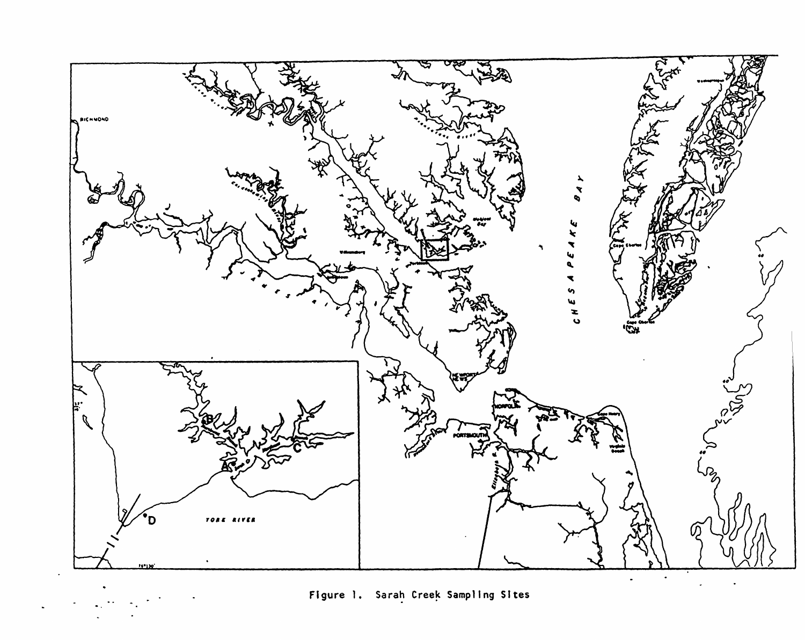

Figure 1. Sarah Creek Sampling Sites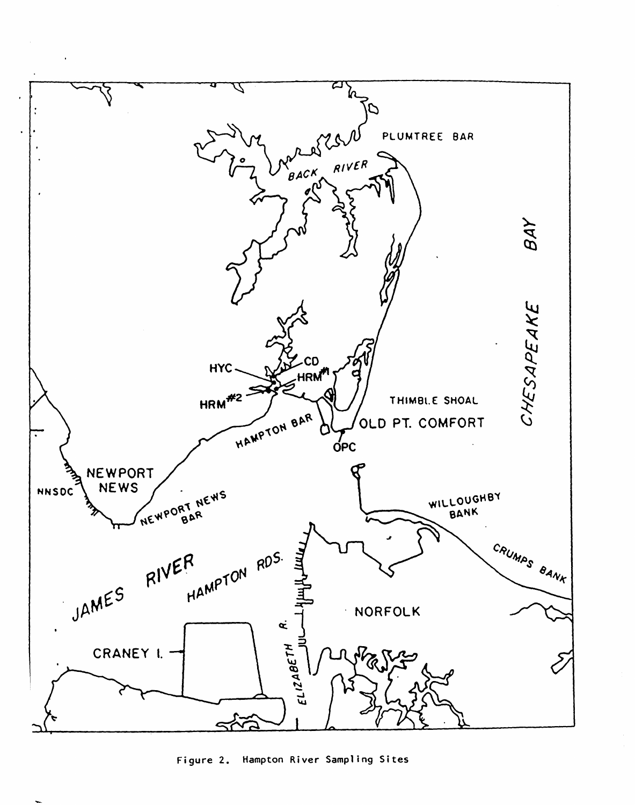

Figure 2. Hampton River Sampling Sites